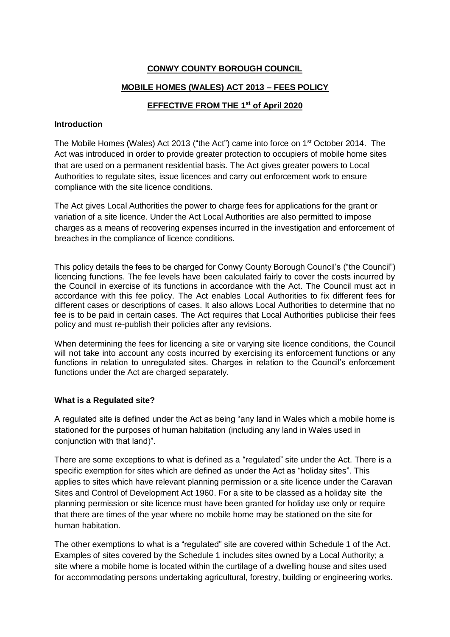# **CONWY COUNTY BOROUGH COUNCIL**

### **MOBILE HOMES (WALES) ACT 2013 – FEES POLICY**

### **EFFECTIVE FROM THE 1 st of April 2020**

### **Introduction**

The Mobile Homes (Wales) Act 2013 ("the Act") came into force on 1st October 2014. The Act was introduced in order to provide greater protection to occupiers of mobile home sites that are used on a permanent residential basis. The Act gives greater powers to Local Authorities to regulate sites, issue licences and carry out enforcement work to ensure compliance with the site licence conditions.

The Act gives Local Authorities the power to charge fees for applications for the grant or variation of a site licence. Under the Act Local Authorities are also permitted to impose charges as a means of recovering expenses incurred in the investigation and enforcement of breaches in the compliance of licence conditions.

This policy details the fees to be charged for Conwy County Borough Council's ("the Council") licencing functions. The fee levels have been calculated fairly to cover the costs incurred by the Council in exercise of its functions in accordance with the Act. The Council must act in accordance with this fee policy. The Act enables Local Authorities to fix different fees for different cases or descriptions of cases. It also allows Local Authorities to determine that no fee is to be paid in certain cases. The Act requires that Local Authorities publicise their fees policy and must re-publish their policies after any revisions.

When determining the fees for licencing a site or varying site licence conditions, the Council will not take into account any costs incurred by exercising its enforcement functions or any functions in relation to unregulated sites. Charges in relation to the Council's enforcement functions under the Act are charged separately.

### **What is a Regulated site?**

A regulated site is defined under the Act as being "any land in Wales which a mobile home is stationed for the purposes of human habitation (including any land in Wales used in conjunction with that land)".

There are some exceptions to what is defined as a "regulated" site under the Act. There is a specific exemption for sites which are defined as under the Act as "holiday sites". This applies to sites which have relevant planning permission or a site licence under the Caravan Sites and Control of Development Act 1960. For a site to be classed as a holiday site the planning permission or site licence must have been granted for holiday use only or require that there are times of the year where no mobile home may be stationed on the site for human habitation.

The other exemptions to what is a "regulated" site are covered within Schedule 1 of the Act. Examples of sites covered by the Schedule 1 includes sites owned by a Local Authority; a site where a mobile home is located within the curtilage of a dwelling house and sites used for accommodating persons undertaking agricultural, forestry, building or engineering works.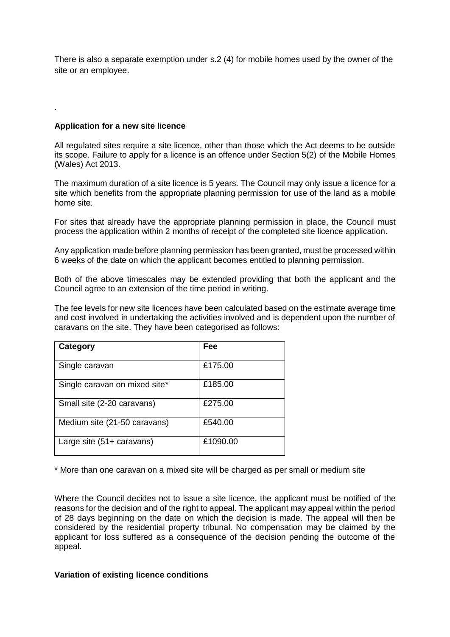There is also a separate exemption under s.2 (4) for mobile homes used by the owner of the site or an employee.

#### **Application for a new site licence**

.

All regulated sites require a site licence, other than those which the Act deems to be outside its scope. Failure to apply for a licence is an offence under Section 5(2) of the Mobile Homes (Wales) Act 2013.

The maximum duration of a site licence is 5 years. The Council may only issue a licence for a site which benefits from the appropriate planning permission for use of the land as a mobile home site.

For sites that already have the appropriate planning permission in place, the Council must process the application within 2 months of receipt of the completed site licence application.

Any application made before planning permission has been granted, must be processed within 6 weeks of the date on which the applicant becomes entitled to planning permission.

Both of the above timescales may be extended providing that both the applicant and the Council agree to an extension of the time period in writing.

The fee levels for new site licences have been calculated based on the estimate average time and cost involved in undertaking the activities involved and is dependent upon the number of caravans on the site. They have been categorised as follows:

| Category                      | Fee      |
|-------------------------------|----------|
| Single caravan                | £175.00  |
|                               |          |
| Single caravan on mixed site* | £185.00  |
| Small site (2-20 caravans)    | £275.00  |
|                               |          |
| Medium site (21-50 caravans)  | £540.00  |
| Large site (51+ caravans)     | £1090.00 |
|                               |          |

\* More than one caravan on a mixed site will be charged as per small or medium site

Where the Council decides not to issue a site licence, the applicant must be notified of the reasons for the decision and of the right to appeal. The applicant may appeal within the period of 28 days beginning on the date on which the decision is made. The appeal will then be considered by the residential property tribunal. No compensation may be claimed by the applicant for loss suffered as a consequence of the decision pending the outcome of the appeal.

#### **Variation of existing licence conditions**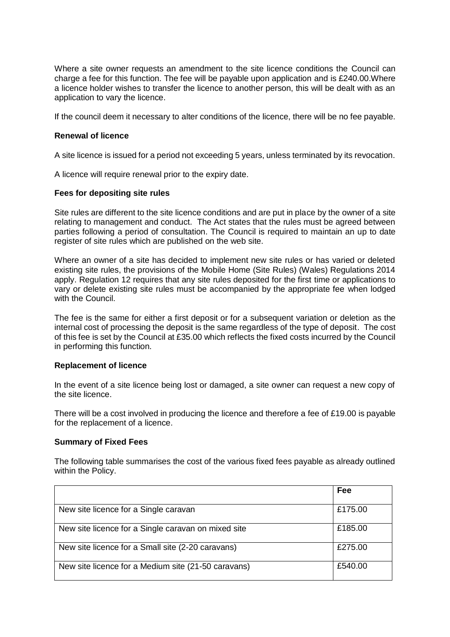Where a site owner requests an amendment to the site licence conditions the Council can charge a fee for this function. The fee will be payable upon application and is £240.00.Where a licence holder wishes to transfer the licence to another person, this will be dealt with as an application to vary the licence.

If the council deem it necessary to alter conditions of the licence, there will be no fee payable.

#### **Renewal of licence**

A site licence is issued for a period not exceeding 5 years, unless terminated by its revocation.

A licence will require renewal prior to the expiry date.

#### **Fees for depositing site rules**

Site rules are different to the site licence conditions and are put in place by the owner of a site relating to management and conduct. The Act states that the rules must be agreed between parties following a period of consultation. The Council is required to maintain an up to date register of site rules which are published on the web site.

Where an owner of a site has decided to implement new site rules or has varied or deleted existing site rules, the provisions of the Mobile Home (Site Rules) (Wales) Regulations 2014 apply. Regulation 12 requires that any site rules deposited for the first time or applications to vary or delete existing site rules must be accompanied by the appropriate fee when lodged with the Council.

The fee is the same for either a first deposit or for a subsequent variation or deletion as the internal cost of processing the deposit is the same regardless of the type of deposit. The cost of this fee is set by the Council at £35.00 which reflects the fixed costs incurred by the Council in performing this function.

### **Replacement of licence**

In the event of a site licence being lost or damaged, a site owner can request a new copy of the site licence.

There will be a cost involved in producing the licence and therefore a fee of £19.00 is payable for the replacement of a licence.

#### **Summary of Fixed Fees**

The following table summarises the cost of the various fixed fees payable as already outlined within the Policy.

|                                                     | Fee     |
|-----------------------------------------------------|---------|
|                                                     |         |
| New site licence for a Single caravan               | £175.00 |
| New site licence for a Single caravan on mixed site | £185.00 |
| New site licence for a Small site (2-20 caravans)   | £275.00 |
| New site licence for a Medium site (21-50 caravans) | £540.00 |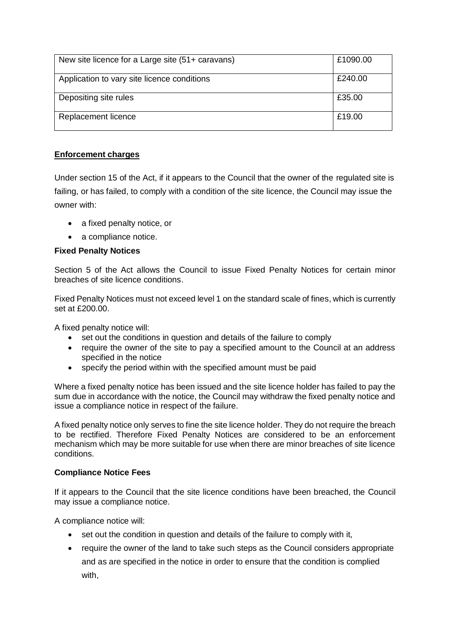| New site licence for a Large site (51+ caravans) | £1090.00 |
|--------------------------------------------------|----------|
| Application to vary site licence conditions      | £240.00  |
| Depositing site rules                            | £35.00   |
| Replacement licence                              | £19.00   |

# **Enforcement charges**

Under section 15 of the Act, if it appears to the Council that the owner of the regulated site is failing, or has failed, to comply with a condition of the site licence, the Council may issue the owner with:

- a fixed penalty notice, or
- a compliance notice.

# **Fixed Penalty Notices**

Section 5 of the Act allows the Council to issue Fixed Penalty Notices for certain minor breaches of site licence conditions.

Fixed Penalty Notices must not exceed level 1 on the standard scale of fines, which is currently set at £200.00.

A fixed penalty notice will:

- set out the conditions in question and details of the failure to comply
- require the owner of the site to pay a specified amount to the Council at an address specified in the notice
- specify the period within with the specified amount must be paid

Where a fixed penalty notice has been issued and the site licence holder has failed to pay the sum due in accordance with the notice, the Council may withdraw the fixed penalty notice and issue a compliance notice in respect of the failure.

A fixed penalty notice only serves to fine the site licence holder. They do not require the breach to be rectified. Therefore Fixed Penalty Notices are considered to be an enforcement mechanism which may be more suitable for use when there are minor breaches of site licence conditions.

# **Compliance Notice Fees**

If it appears to the Council that the site licence conditions have been breached, the Council may issue a compliance notice.

A compliance notice will:

- set out the condition in question and details of the failure to comply with it,
- require the owner of the land to take such steps as the Council considers appropriate and as are specified in the notice in order to ensure that the condition is complied with,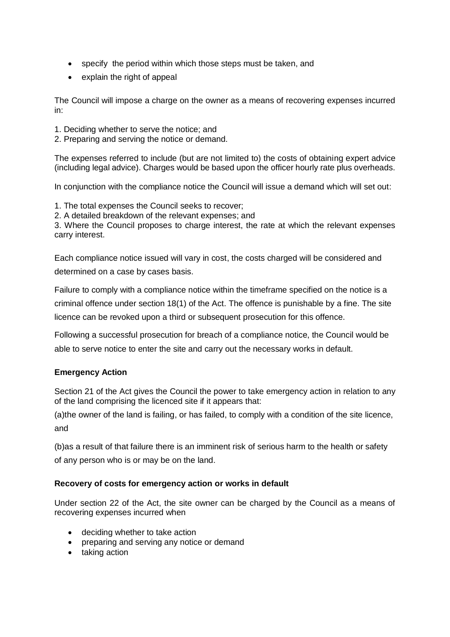- specify the period within which those steps must be taken, and
- explain the right of appeal

The Council will impose a charge on the owner as a means of recovering expenses incurred in:

- 1. Deciding whether to serve the notice; and
- 2. Preparing and serving the notice or demand.

The expenses referred to include (but are not limited to) the costs of obtaining expert advice (including legal advice). Charges would be based upon the officer hourly rate plus overheads.

In conjunction with the compliance notice the Council will issue a demand which will set out:

- 1. The total expenses the Council seeks to recover;
- 2. A detailed breakdown of the relevant expenses; and

3. Where the Council proposes to charge interest, the rate at which the relevant expenses carry interest.

Each compliance notice issued will vary in cost, the costs charged will be considered and determined on a case by cases basis.

Failure to comply with a compliance notice within the timeframe specified on the notice is a criminal offence under section 18(1) of the Act. The offence is punishable by a fine. The site licence can be revoked upon a third or subsequent prosecution for this offence.

Following a successful prosecution for breach of a compliance notice, the Council would be able to serve notice to enter the site and carry out the necessary works in default.

### **Emergency Action**

Section 21 of the Act gives the Council the power to take emergency action in relation to any of the land comprising the licenced site if it appears that:

(a)the owner of the land is failing, or has failed, to comply with a condition of the site licence, and

(b)as a result of that failure there is an imminent risk of serious harm to the health or safety of any person who is or may be on the land.

### **Recovery of costs for emergency action or works in default**

Under section 22 of the Act, the site owner can be charged by the Council as a means of recovering expenses incurred when

- deciding whether to take action
- preparing and serving any notice or demand
- taking action